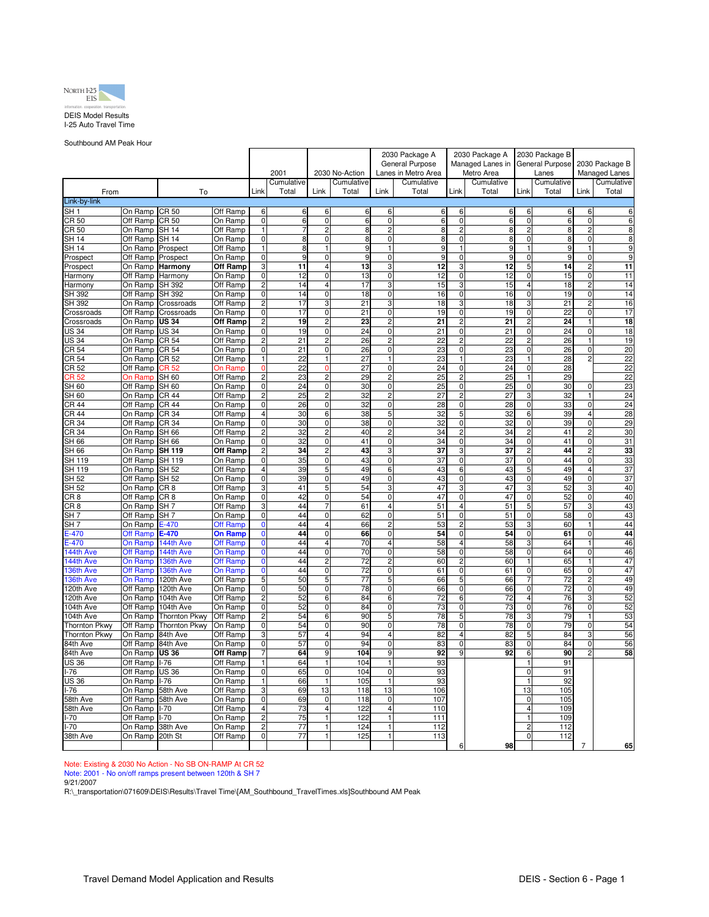

Southbound AM Peak Hour

|                          |                     |                         |                     |                               |            |                                  |                 | 2030 Package A      |                     | 2030 Package A                |                 | 2030 Package B                |                 |                               |                      |
|--------------------------|---------------------|-------------------------|---------------------|-------------------------------|------------|----------------------------------|-----------------|---------------------|---------------------|-------------------------------|-----------------|-------------------------------|-----------------|-------------------------------|----------------------|
|                          |                     |                         |                     |                               |            |                                  | General Purpose |                     | Managed Lanes in    |                               | General Purpose |                               | 2030 Package B  |                               |                      |
|                          |                     |                         |                     |                               | 2001       |                                  | 2030 No-Action  |                     | Lanes in Metro Area |                               | Metro Area      |                               | Lanes           |                               | <b>Managed Lanes</b> |
|                          |                     |                         |                     |                               | Cumulative |                                  | Cumulative      |                     | Cumulative          |                               | Cumulative      |                               | Cumulative      |                               | Cumulative           |
| From                     |                     | To                      |                     | Link                          | Total      | Link                             | Total           | Link                | Total               | Link                          | Total           | Link                          | Total           | Link                          | Total                |
| Link-by-link             |                     |                         |                     |                               |            |                                  |                 |                     |                     |                               |                 |                               |                 |                               |                      |
| $\overline{\text{SH }1}$ | On Ramp             | <b>CR 50</b>            | Off Ramp            | 6                             | 6          | 6                                | 6               | 6                   | 6                   | 6                             | 6               | 6                             | 6               | 6                             | 6                    |
| CR50                     | Off Ramp            | <b>CR 50</b>            | On Ramp             | $\overline{0}$                | 6          | $\overline{0}$                   |                 | $\Omega$            | 6                   | $\overline{0}$                | 6               | $\overline{0}$                | 6               | $\mathbf 0$                   | 6                    |
| CR 50<br><b>SH 14</b>    | On Ramp<br>Off Ramp | $SH$ 14<br><b>SH 14</b> | Off Ramp            | $\mathbf{1}$<br>$\mathbf 0$   | 8          | $\overline{c}$<br>$\overline{0}$ |                 |                     | 8                   | $\overline{2}$<br>$\pmb{0}$   | 8<br>8          | $\overline{2}$<br>$\pmb{0}$   | 8               | $\overline{2}$                | 8<br>8               |
| SH 14                    | On Ramp             |                         | On Ramp<br>Off Ramp | 1                             | 8          | $\mathbf{1}$                     | 8<br>9          | 0<br>$\overline{1}$ | 8<br>9              | 1                             | 9               | 1                             | 8<br>9          | 0<br>$\mathbf{1}$             | 9                    |
| Prospect                 | Off Ramp            | Prospect<br>Prospect    | On Ramp             | 0                             | 9          | $\overline{0}$                   | 9               | $\Omega$            | 9                   | 0                             | 9               | $\overline{0}$                | 9               | $\mathbf 0$                   | 9                    |
| Prospect                 | On Ramp             | Harmony                 | <b>Off Ramp</b>     | 3                             | 11         | $\overline{\mathbf{4}}$          | 13              | 3                   | 12                  | 3                             | 12              | 5                             | 14              | $\overline{2}$                | 11                   |
| Harmony                  | Off Ramp            | Harmony                 | On Ramp             | $\mathbf 0$                   | 12         | $\mathbf 0$                      | 13              | $\Omega$            | 12                  | $\mathbf 0$                   | 12              | $\mathbf 0$                   | 15              | $\mathbf 0$                   | 11                   |
| Harmony                  | On Ramp             | SH 392                  | Off Ramp            | $\overline{2}$                | 14         | $\overline{\mathbf{4}}$          | 17              | 3                   | 15                  | 3                             | 15              | $\overline{4}$                | 18              | $\overline{2}$                | 14                   |
| SH 392                   | Off Ramp            | SH 392                  | On Ramp             | 0                             | 14         | 0                                | 18              | 0                   | 16                  | 0                             | 16              | 0                             | 19              | $\mathbf 0$                   | 14                   |
| SH 392                   | On Ramp             | Crossroads              | Off Ramp            | $\overline{c}$                | 17         | 3                                | 21              | 3                   | 18                  | 3                             | 18              | 3                             | 21              | $\overline{c}$                | 16                   |
| Crossroads               | Off Ramp            | Crossroads              | On Ramp             | $\overline{0}$                | 17         | 0                                | 21              | $\overline{0}$      | 19                  | $\overline{0}$                | 19              | $\overline{0}$                | 22              | $\overline{0}$                | 17                   |
| Crossroads               | On Ramp             | <b>US 34</b>            | <b>Off Ramp</b>     | $\overline{c}$                | 19         | 2                                | 23              | $\overline{2}$      | 21                  | $\overline{2}$                | 21              | $\overline{2}$                | $\overline{24}$ | 1                             | 18                   |
| <b>US 34</b>             | Off Ramp            | <b>US 34</b>            | On Ramp             | $\mathbf 0$                   | 19         | $\mathbf 0$                      | 24              | $\mathbf 0$         | 21                  | $\mathbf 0$                   | 21              | $\mathbf 0$                   | $\overline{24}$ | $\mathbf 0$                   | 18                   |
| <b>US 34</b>             | On Ramp             | <b>CR 54</b>            | Off Ramp            | $\overline{2}$                | 21         | $\overline{c}$                   | 26              | 2                   | 22                  | $\overline{c}$                | 22              | $\overline{c}$                | 26              |                               | 19                   |
| CR 54                    | Off Ramp            | CR 54                   | On Ramp             | $\mathbf 0$                   | 21         | 0                                | 26              | $\mathbf 0$         | 23                  | 0                             | 23              | $\mathbf 0$                   | 26              | $\mathbf 0$                   | 20                   |
| CR 54                    | On Ramp             | <b>CR 52</b>            | Off Ramp            | 1                             | 22         | $\mathbf{1}$                     | 27              | 1                   | 23                  | $\mathbf{1}$                  | 23              | 1                             | 28              | $\overline{c}$                | 22                   |
| CR 52                    | Off Ramp            | CR 52                   | On Ramp             | $\Omega$                      | 22         | $\Omega$                         | 27              | $\Omega$            | 24                  | $\mathbf 0$                   | 24              | $\mathbf 0$                   | 28              |                               | 22                   |
| CR 52                    | On Ramp             | $\overline{SH}$ 60      | Off Ramp            | $\overline{2}$                | 23         | 2                                | 29              | $\overline{2}$      | 25                  | $\overline{2}$                | 25              | $\overline{1}$                | 29              |                               | 22                   |
| <b>SH 60</b>             | Off Ramp            | <b>SH 60</b>            | On Ramp             | 0                             | 24         | $\overline{0}$                   | 30              | 0                   | 25                  | $\overline{0}$                | 25              | 0                             | 30              | $\mathbf 0$                   | 23                   |
| <b>SH 60</b>             | On Ramp             | <b>CR 44</b>            | Off Ramp            | $\overline{c}$                | 25         | $\overline{c}$                   | 32              | 2                   | 27                  | $\overline{2}$                | 27              | 3                             | 32              | $\mathbf{1}$                  | 24                   |
| CR 44                    | Off Ramp            | <b>CR 44</b>            | On Ramp             | 0                             | 26         | 0                                | 32              | $\mathbf 0$         | 28                  | 0                             | 28              | $\pmb{0}$                     | 33              | 0                             | 24                   |
| <b>CR 44</b>             | On Ramp             | CR 34                   | Off Ramp            | $\overline{4}$                | 30         | 6                                | 38              | 5                   | 32                  | $\overline{5}$                | 32              | 6                             | 39              | $\overline{4}$                | 28                   |
| CR 34                    | Off Ramp<br>On Ramp | CR 34<br><b>SH 66</b>   | On Ramp             | $\mathbf 0$<br>$\overline{c}$ | 30<br>32   | $\pmb{0}$<br>$\overline{c}$      | 38<br>40        | 0<br>$\overline{c}$ | 32<br>34            | $\mathbf 0$<br>$\overline{c}$ | 32<br>34        | $\mathbf 0$<br>$\overline{c}$ | 39<br>41        | $\mathbf 0$<br>$\overline{c}$ | 29<br>30             |
| CR 34<br>SH 66           | Off Ramp            | <b>SH 66</b>            | Off Ramp<br>On Ramp | $\mathbf 0$                   | 32         | $\mathbf 0$                      | 41              | 0                   | 34                  | 0                             | 34              | $\pmb{0}$                     | 41              | $\mathbf 0$                   | 31                   |
| SH 66                    | On Ramp             | <b>SH 119</b>           | Off Ramp            | $\overline{\mathbf{c}}$       | 34         | $\overline{\mathbf{c}}$          | 43              | 3                   | 37                  | 3                             | 37              | $\overline{\mathbf{c}}$       | 44              | $\overline{c}$                | 33                   |
| SH 119                   | Off Ramp            | <b>SH 119</b>           | On Ramp             | $\mathbf 0$                   | 35         | 0                                | 43              | $\Omega$            | 37                  | $\mathbf 0$                   | 37              | 0                             | 44              | $\mathbf 0$                   | 33                   |
| SH 119                   | On Ramp             | <b>SH 52</b>            | Off Ramp            | $\overline{4}$                | 39         | 5                                | 49              | 6                   | 43                  | 6                             | 43              | $\overline{5}$                | 49              | $\overline{4}$                | 37                   |
| SH 52                    | Off Ramp            | $SH\overline{52}$       | On Ramp             | 0                             | 39         | $\overline{0}$                   | 49              | $\Omega$            | 43                  | $\mathbf 0$                   | 43              | $\overline{0}$                | 49              | $\overline{\mathbf{0}}$       | 37                   |
| SH 52                    | On Ramp             | CR <sub>8</sub>         | Off Ramp            | 3                             | 41         | 5                                | 54              | 3                   | 47                  | $\overline{3}$                | 47              | 3                             | 52              | 3                             | 40                   |
| CR 8                     | Off Ramp            | CR <sub>8</sub>         | On Ramp             | 0                             | 42         | $\mathbf 0$                      | 54              | $\mathbf 0$         | 47                  | $\mathbf 0$                   | 47              | $\pmb{0}$                     | 52              | 0                             | 40                   |
| CR 8                     | On Ramp             | SH <sub>7</sub>         | Off Ramp            | 3                             | 44         | 7                                | 61              | 4                   | 51                  | 4                             | 51              | 5                             | 57              | 3                             | 43                   |
| SH 7                     | Off Ramp            | SH <sub>7</sub>         | On Ramp             | $\mathbf 0$                   | 44         | $\overline{0}$                   | 62              | 0                   | 51                  | $\overline{0}$                | 51              | $\mathbf 0$                   | 58              | 0                             | 43                   |
| SH <sub>7</sub>          | On Ramp             | $E-470$                 | <b>Off Ramp</b>     | $\mathbf{0}$                  | 44         | $\overline{4}$                   | 66              | $\overline{c}$      | 53                  | $\mathbf 2$                   | 53              | 3                             | 60              |                               | 44                   |
| $-470$                   | <b>Off Ramp</b>     | $E-470$                 | <b>On Ramp</b>      | $\mathbf 0$                   | 44         | $\overline{0}$                   | 66              | $\mathbf 0$         | 54                  | $\overline{0}$                | 54              | $\overline{0}$                | 61              | $\overline{0}$                | 44                   |
| $E - 470$                | <b>On Ramp</b>      | 144th Ave               | Off Ramp            | $\mathbf 0$                   | 44         | $\overline{4}$                   | 70              | $\overline{4}$      | 58                  | $\overline{4}$                | 58              | 3                             | 64              | 1                             | 46                   |
| 144th Ave                | <b>Off Ramp</b>     | 144th Ave               | <b>On Ramp</b>      | $\mathbf 0$                   | 44         | 0                                | 70              | $\mathbf 0$         | 58                  | $\mathbf 0$                   | 58              | $\pmb{0}$                     | 64              | $\mathbf 0$                   | 46                   |
| 144th Ave                | <b>On Ramp</b>      | 136th Ave               | Off Ramp            | $\mathbf 0$                   | 44         | $\overline{c}$                   | 72              | $\overline{2}$      | 60                  | $\overline{c}$                | 60              | $\mathbf{1}$                  | 65              | $\mathbf{1}$                  | 47                   |
| 136th Ave                | Off Ramp            | 136th Ave               | <b>On Ramp</b>      | $\mathbf 0$                   | 44         | 0                                | 72              | $\Omega$            | 61                  | 0                             | 61              | 0                             | 65              | $\mathbf 0$                   | 47                   |
| 136th Ave<br>120th Ave   | On Ramp<br>Off Ramp | 120th Ave<br>120th Ave  | Off Ramp            | 5<br>$\mathbf 0$              | 50<br>50   | 5<br>$\pmb{0}$                   | 77<br>78        | 5<br>$\mathbf 0$    | 66<br>66            | 5<br>$\pmb{0}$                | 66<br>66        | $\overline{7}$<br>$\mathbf 0$ | 72<br>72        | $\overline{2}$<br>0           | 49<br>49             |
| 120th Ave                | On Ramp             | 104th Ave               | On Ramp<br>Off Ramp | $\overline{c}$                | 52         | 6                                | 84              | 6                   | 72                  | 6                             | 72              | $\overline{\mathbf{4}}$       | 76              | 3                             | 52                   |
| 104th Ave                | Off Ramp            | 104th Ave               | On Ramp             | $\mathbf 0$                   | 52         | 0                                | 84              | 0                   | 73                  | $\pmb{0}$                     | 73              | $\pmb{0}$                     | 76              | 0                             | 52                   |
| 104th Ave                | On Ramp             | <b>Thornton Pkwy</b>    | Off Ramp            | $\overline{2}$                | 54         | 6                                | 90              | 5                   | 78                  | 5                             | 78              | 3                             | 79              | 1                             | 53                   |
| <b>Thornton Pkwy</b>     | Off Ramp            | <b>Thornton Pkwy</b>    | On Ramp             | $\overline{0}$                | 54         | $\overline{0}$                   | 90              | $\overline{0}$      | 78                  | $\overline{0}$                | 78              | $\overline{0}$                | 79              | $\overline{0}$                | 54                   |
| <b>Thornton Pkwy</b>     | On Ramp             | 84th Ave                | Off Ramp            | 3                             | 57         | 4                                | 94              | $\overline{4}$      | 82                  | $\overline{4}$                | 82              | 5                             | 84              | 3                             | 56                   |
| 84th Ave                 | Off Ramp            | 84th Ave                | On Ramp             | $\mathbf 0$                   | 57         | $\pmb{0}$                        | 94              | $\mathbf 0$         | 83                  | $\mathbf 0$                   | 83              | $\mathbf 0$                   | 84              | $\mathbf 0$                   | 56                   |
| 84th Ave                 | On Ramp             | US 36                   | Off Ramp            | 7                             | 64         | 9                                | 104             | 9                   | 92                  | 9                             | 92              | 6                             | 90              | $\overline{c}$                | 58                   |
| US 36                    | Off Ramp            | $I - 76$                | Off Ramp            | 1                             | 64         | $\mathbf{1}$                     | 104             | $\overline{1}$      | 93                  |                               |                 | $\mathbf{1}$                  | 91              |                               |                      |
| l-76                     | Off Ramp            | <b>US 36</b>            | On Ramp             | $\mathbf 0$                   | 65         | $\overline{0}$                   | 104             | $\mathbf 0$         | 93                  |                               |                 | $\overline{0}$                | 91              |                               |                      |
| US 36                    | On Ramp             | $1-76$                  | On Ramp             | 1                             | 66         | $\mathbf{1}$                     | 105             | 1                   | 93                  |                               |                 | $\mathbf{1}$                  | 92              |                               |                      |
| $1-76$                   | On Ramp             | 58th Ave                | Off Ramp            | 3                             | 69         | 13                               | 118             | 13                  | 106                 |                               |                 | 13                            | 105             |                               |                      |
| 58th Ave                 | Off Ramp            | 58th Ave                | On Ramp             | $\mathbf 0$                   | 69         | 0                                | 118             | 0                   | 107                 |                               |                 | 0                             | 105             |                               |                      |
| 58th Ave                 | On Ramp             | $I - 70$                | Off Ramp            | $\overline{4}$                | 73         | $\overline{4}$                   | 122             | $\overline{4}$      | 110                 |                               |                 | $\overline{4}$                | 109             |                               |                      |
| -70                      | Off Ramp            | $I-70$                  | On Ramp             | $\overline{2}$                | 75         | $\mathbf{1}$                     | 122             | $\mathbf{1}$        | 111                 |                               |                 | $\mathbf{1}$                  | 109             |                               |                      |
| $-70$                    | On Ramp             | 38th Ave                | On Ramp             | $\overline{c}$                | 77         | $\mathbf{1}$                     | 124             | 1                   | 112                 |                               |                 | $\overline{\mathbf{c}}$       | 112             |                               |                      |
| 38th Ave                 | On Ramp             | 20th St                 | Off Ramp            | $\mathbf 0$                   | 77         | $\mathbf{1}$                     | 125             | $\mathbf{1}$        | 113                 |                               |                 | $\mathbf 0$                   | 112             |                               |                      |
|                          |                     |                         |                     |                               |            |                                  |                 |                     |                     | 6                             | 98              |                               |                 | $\overline{7}$                | 65                   |

Note: Existing & 2030 No Action - No SB ON-RAMP At CR 52<br>Note: 2001 - No on/off ramps present between 120th & SH 7<br>9/21/2007

R:\\_transportation\071609\DEIS\Results\Travel Time\[AM\_Southbound\_TravelTimes.xls]Southbound AM Peak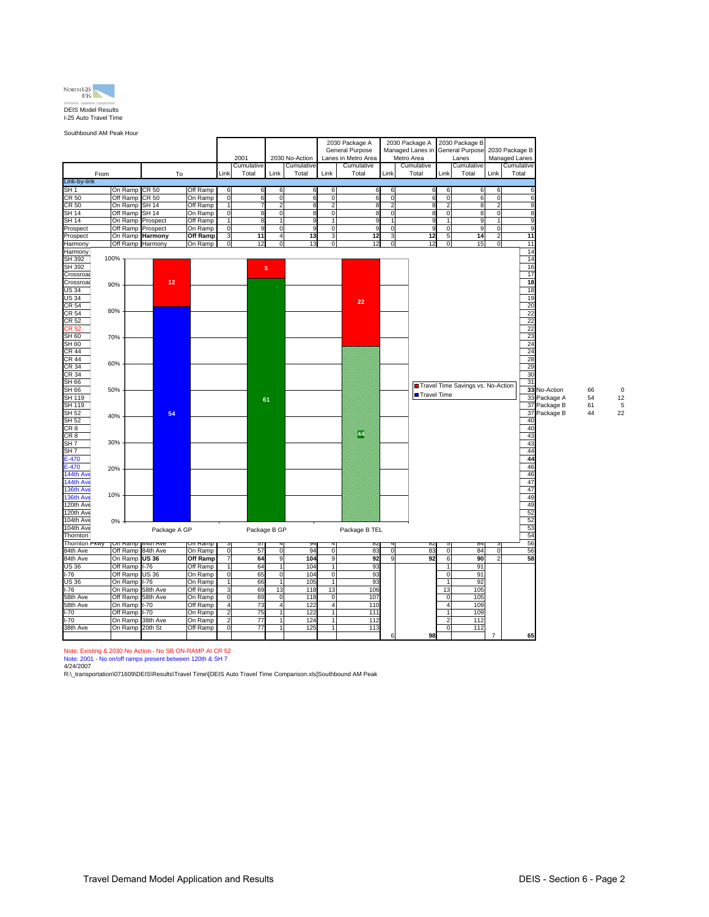

Southbound AM Peak Hour

|                        |                     |                             |                     |                                  | 2001                |                            | 2030 No-Action      |                         | 2030 Package A<br>General Purpose<br>Lanes in Metro Area |                | 2030 Package A<br>Managed Lanes in<br>Metro Area |                                  | 2030 Package B<br>General Purpose<br>Lanes |                                  | 2030 Package B<br>Managed Lanes                       |              |    |    |
|------------------------|---------------------|-----------------------------|---------------------|----------------------------------|---------------------|----------------------------|---------------------|-------------------------|----------------------------------------------------------|----------------|--------------------------------------------------|----------------------------------|--------------------------------------------|----------------------------------|-------------------------------------------------------|--------------|----|----|
|                        |                     |                             |                     | Link                             | Cumulative<br>Total | Link                       | Cumulative<br>Total | Link                    | Cumulative<br>Total                                      | Link           | Cumulative<br>Total                              | Link                             | Cumulative<br>Total                        | Link                             | Cumulative<br>Total                                   |              |    |    |
| From<br>Link-by-link   |                     | To                          |                     |                                  |                     |                            |                     |                         |                                                          |                |                                                  |                                  |                                            |                                  |                                                       |              |    |    |
| SH 1                   | On Ramp             | CR 50                       | Off Ramp            | 6                                | 6                   | 6                          | 6                   | 6                       | 6                                                        | 6              | 6                                                | 6                                | 6                                          | 6                                |                                                       |              |    |    |
| CR 50                  | Off Ramp            | CR 50                       | On Ramp             | $\mathbf 0$                      | 6                   | $\mathbf 0$                | 6                   | $\mathbf 0$             | 6                                                        | 0              | 6                                                | $\mathbf 0$                      | 6                                          | $\mathbf 0$                      | 6                                                     |              |    |    |
| CR 50                  | On Ramp             | SH 14                       | Off Ramp            | $\overline{1}$                   | $\overline{7}$      | $\overline{2}$             | 8                   | $\mathfrak{p}$          | 8                                                        | $\overline{2}$ | 8                                                | $\overline{2}$                   | 8                                          | $\overline{2}$                   | 8                                                     |              |    |    |
| SH 14                  | Off Ramp            | <b>SH 14</b>                | On Ramp             | $\overline{0}$                   | 8                   | $\overline{0}$             | 8                   | $\Omega$                | ٤                                                        | C              |                                                  | $\overline{0}$                   | 8                                          | $\overline{0}$                   | 8                                                     |              |    |    |
| SH 14                  | On Ramp             | Prospect                    | Off Ramp            | 1                                | 8                   | $1\overline{ }$            | 9                   |                         | ¢                                                        |                | c                                                | $\overline{1}$                   | 9                                          | 1                                | 9                                                     |              |    |    |
| Prospect               | Off Ramp            | Prospect                    | On Ramp             | $\mathbf 0$                      | 9                   | $\mathbf 0$                | 9                   | $\mathbf 0$             | ç                                                        | 0<br>ă         | C                                                | $\mathbf 0$                      | 9                                          | $\overline{0}$                   | 9                                                     |              |    |    |
| Prospect<br>Harmony    | On Ramp             | Harmony<br>Off Ramp Harmony | Off Ramp<br>On Ramp | $\overline{3}$<br>$\overline{0}$ | 11<br>12            | $\overline{4}$<br>$\Omega$ | 13<br>13            | 3<br>$\mathbf 0$        | 12<br>12                                                 | $\mathbf 0$    | 12<br>12                                         | 5<br>$\mathbf 0$                 | 14<br>15                                   | $\overline{2}$<br>$\overline{0}$ | 11<br>11                                              |              |    |    |
| Harmony                |                     |                             |                     |                                  |                     |                            |                     |                         |                                                          |                |                                                  |                                  |                                            |                                  | 14                                                    |              |    |    |
| SH 392                 | 100%                |                             |                     |                                  |                     |                            |                     |                         |                                                          |                |                                                  |                                  |                                            |                                  | 14                                                    |              |    |    |
| SH 392                 |                     |                             |                     |                                  |                     | 5 <sub>5</sub>             |                     |                         |                                                          |                |                                                  |                                  |                                            |                                  | 16                                                    |              |    |    |
| Crossroa               |                     |                             |                     |                                  |                     |                            |                     |                         |                                                          |                |                                                  |                                  |                                            |                                  | 17                                                    |              |    |    |
| Crossroa               | 90%                 | 12                          |                     |                                  |                     |                            |                     |                         |                                                          |                |                                                  |                                  |                                            |                                  | 18                                                    |              |    |    |
| US 34                  |                     |                             |                     |                                  |                     |                            |                     |                         |                                                          |                |                                                  |                                  |                                            |                                  | 18                                                    |              |    |    |
| US 34                  |                     |                             |                     |                                  |                     |                            |                     |                         | 22                                                       |                |                                                  |                                  |                                            |                                  | 19                                                    |              |    |    |
| CR 54<br><b>CR 54</b>  | 80%                 |                             |                     |                                  |                     |                            |                     |                         |                                                          |                |                                                  |                                  |                                            |                                  | 20                                                    |              |    |    |
| CR 52                  |                     |                             |                     |                                  |                     |                            |                     |                         |                                                          |                |                                                  |                                  |                                            |                                  |                                                       |              |    |    |
| CR 52                  |                     |                             |                     |                                  |                     |                            |                     |                         |                                                          |                |                                                  |                                  |                                            |                                  |                                                       |              |    |    |
| SH 60                  | 70%                 |                             |                     |                                  |                     |                            |                     |                         |                                                          |                |                                                  |                                  |                                            |                                  |                                                       |              |    |    |
| SH 60                  |                     |                             |                     |                                  |                     |                            |                     |                         |                                                          |                |                                                  |                                  |                                            |                                  | $\frac{22}{22}$<br>$\frac{22}{23}$<br>$\frac{23}{24}$ |              |    |    |
| CR 44                  |                     |                             |                     |                                  |                     |                            |                     |                         |                                                          |                |                                                  |                                  |                                            |                                  | 24                                                    |              |    |    |
| CR 44                  | 60%                 |                             |                     |                                  |                     |                            |                     |                         |                                                          |                |                                                  |                                  |                                            |                                  | 28                                                    |              |    |    |
| <b>CR 34</b>           |                     |                             |                     |                                  |                     |                            |                     |                         |                                                          |                |                                                  |                                  |                                            |                                  | 29                                                    |              |    |    |
| CR 34                  |                     |                             |                     |                                  |                     |                            |                     |                         |                                                          |                |                                                  |                                  |                                            |                                  | 30<br>31                                              |              |    |    |
| SH 66<br>SH 66         | 50%                 |                             |                     |                                  |                     |                            |                     |                         |                                                          |                |                                                  |                                  | Travel Time Savings vs. No-Action          |                                  |                                                       | 33 No-Action | 66 | 0  |
| SH 119                 |                     |                             |                     |                                  |                     |                            |                     |                         |                                                          |                | Travel Time                                      |                                  |                                            |                                  |                                                       | 33 Package A | 54 | 12 |
| SH 119                 |                     |                             |                     |                                  |                     | 61                         |                     |                         |                                                          |                |                                                  |                                  |                                            |                                  |                                                       | 37 Package B | 61 | 5  |
| SH 52                  | 40%                 | 54                          |                     |                                  |                     |                            |                     |                         |                                                          |                |                                                  |                                  |                                            |                                  |                                                       | 37 Package B | 44 | 22 |
| SH 52                  |                     |                             |                     |                                  |                     |                            |                     |                         |                                                          |                |                                                  |                                  |                                            |                                  | 40                                                    |              |    |    |
| CR <sub>8</sub>        |                     |                             |                     |                                  |                     |                            |                     |                         | $^{44}$                                                  |                |                                                  |                                  |                                            |                                  | 40                                                    |              |    |    |
| CR <sub>8</sub>        | 30%                 |                             |                     |                                  |                     |                            |                     |                         |                                                          |                |                                                  |                                  |                                            |                                  | 43                                                    |              |    |    |
| SH7<br>SH7             |                     |                             |                     |                                  |                     |                            |                     |                         |                                                          |                |                                                  |                                  |                                            |                                  | 43<br>44                                              |              |    |    |
| $E - 470$              |                     |                             |                     |                                  |                     |                            |                     |                         |                                                          |                |                                                  |                                  |                                            |                                  | 44                                                    |              |    |    |
| $E-470$                | 20%                 |                             |                     |                                  |                     |                            |                     |                         |                                                          |                |                                                  |                                  |                                            |                                  | 46                                                    |              |    |    |
| 144th Av               |                     |                             |                     |                                  |                     |                            |                     |                         |                                                          |                |                                                  |                                  |                                            |                                  | 46                                                    |              |    |    |
| 144th Ave              |                     |                             |                     |                                  |                     |                            |                     |                         |                                                          |                |                                                  |                                  |                                            |                                  | 47                                                    |              |    |    |
| 136th Ave              | 10%                 |                             |                     |                                  |                     |                            |                     |                         |                                                          |                |                                                  |                                  |                                            |                                  | 47                                                    |              |    |    |
| 136th Ave              |                     |                             |                     |                                  |                     |                            |                     |                         |                                                          |                |                                                  |                                  |                                            |                                  | 49                                                    |              |    |    |
| 120th Ave<br>120th Ave |                     |                             |                     |                                  |                     |                            |                     |                         |                                                          |                |                                                  |                                  |                                            |                                  | 49<br>52                                              |              |    |    |
| 104th Ave              | 0%                  |                             |                     |                                  |                     |                            |                     |                         |                                                          |                |                                                  |                                  |                                            |                                  | 52                                                    |              |    |    |
| 104th Ave              |                     | Package A GP                |                     |                                  | Package B GP        |                            |                     |                         | Package B TEL                                            |                |                                                  |                                  |                                            |                                  | 53                                                    |              |    |    |
| Thornton               |                     |                             |                     |                                  |                     |                            |                     |                         |                                                          |                |                                                  |                                  |                                            |                                  | 54                                                    |              |    |    |
| Thornton PRWY          |                     | On Ramp 84th Ave            | off Ramp            | J                                | 57                  |                            | 94                  |                         | 8Z                                                       |                | 8Z                                               |                                  | 84                                         |                                  | 56                                                    |              |    |    |
| 84th Ave               | Off Ramp            | 84th Ave                    | On Ramp             | $\overline{0}$                   | 57                  | $\overline{0}$             | 94                  |                         | 83                                                       | $\mathcal{C}$  | 83                                               | $\overline{0}$                   | 84                                         | $\overline{0}$                   | 56                                                    |              |    |    |
| 84th Ave               | On Ramp             | <b>US 36</b>                | Off Ramp            | $\overline{7}$                   | 64                  | 9                          | 104                 | 9                       | 92                                                       | c              | 92                                               | 6                                | 90                                         | $\overline{2}$                   | 58                                                    |              |    |    |
| <b>US 36</b>           | Off Ramp            | $I-76$                      | Off Ramp            | 1                                | 64                  | 1                          | 104                 | 1<br>$\Omega$           | 93                                                       |                |                                                  | $\mathbf{1}$                     | 91                                         |                                  |                                                       |              |    |    |
| $-76$<br>US 36         | Off Ramp<br>On Ramp | <b>US 36</b><br>$1 - 76$    | On Ramp<br>On Ramp  | $\overline{0}$<br>1              | 65<br>66            | $\overline{0}$<br>1        | 104<br>105          |                         | 93<br>93                                                 |                |                                                  | $\overline{0}$<br>$\overline{1}$ | 91<br>92                                   |                                  |                                                       |              |    |    |
| $-76$                  | On Ramp             | 58th Ave                    | Off Ramp            | 3                                | 69                  | 13                         | 118                 | 13                      | 106                                                      |                |                                                  | 13                               | 105                                        |                                  |                                                       |              |    |    |
| 58th Ave               | Off Ramp            | 58th Ave                    | On Ramp             | $\mathbf 0$                      | 69                  | $\mathbf 0$                | 118                 | $\mathbf 0$             | 107                                                      |                |                                                  | $\mathbf 0$                      | 105                                        |                                  |                                                       |              |    |    |
| 58th Ave               | On Ramp             | $-70$                       | Off Ramp            | $\overline{4}$                   | 73                  | $\overline{4}$             | 122                 | $\overline{\mathbf{A}}$ | 110                                                      |                |                                                  | $\overline{4}$                   | 109                                        |                                  |                                                       |              |    |    |
| $-70$                  | Off Ramp            | $-70$                       | On Ramp             | 2                                | 75                  |                            | 122                 |                         | 111                                                      |                |                                                  |                                  | 109                                        |                                  |                                                       |              |    |    |
| $-70$                  | On Ramp             | 38th Ave                    | On Ramp             | $\overline{a}$                   | 77                  |                            | 124                 | 1                       | 112                                                      |                |                                                  | $\overline{2}$                   | 112                                        |                                  |                                                       |              |    |    |
| 38th Ave               | On Ramp             | 20th St                     | Off Ramp            | $\overline{0}$                   | 77                  |                            | 125                 | $\blacksquare$          | 113                                                      |                |                                                  | ō                                | 112                                        |                                  |                                                       |              |    |    |
|                        |                     |                             |                     |                                  |                     |                            |                     |                         |                                                          | 6              | 98                                               |                                  |                                            | $\overline{7}$                   | 65                                                    |              |    |    |

Note: Existing & 2030 No Action - No SB ON-RAMP At CR 52<br>Note: 2001 - No on/off ramps present between 120th & SH 7

4/24/2007<br>R:∖\_transportation\071609\DEIS\Results\Travel Time\[DEIS Auto Travel Time Comparison.xls]Southbound AM Peak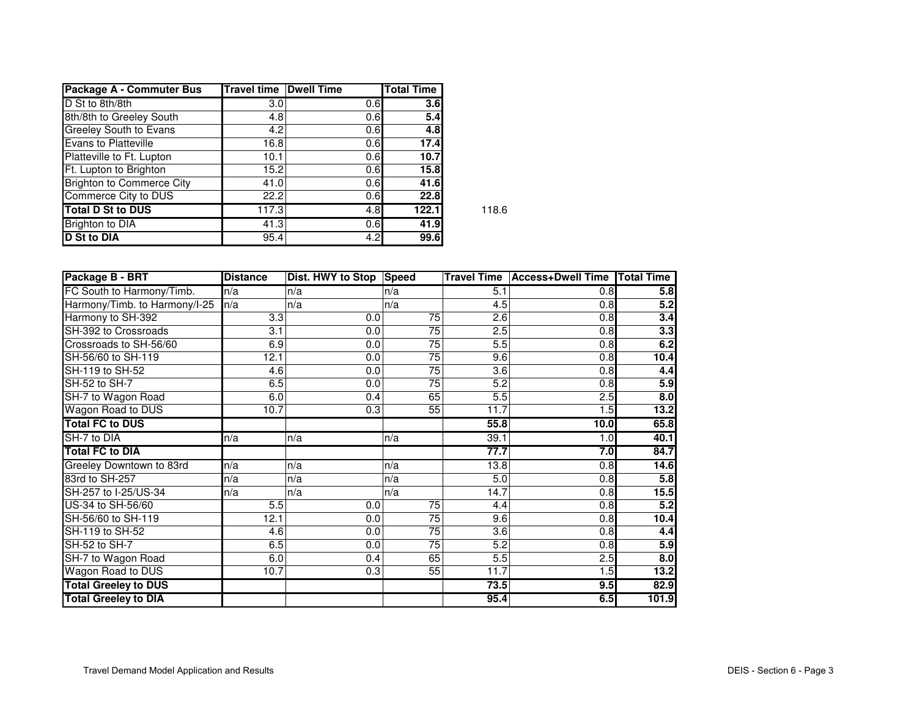| Package A - Commuter Bus         | <b>Travel time Dwell Time</b> |     | <b>Total Time</b> |       |
|----------------------------------|-------------------------------|-----|-------------------|-------|
| D St to 8th/8th                  | 3.0                           | 0.6 | 3.6 <sub>l</sub>  |       |
| 8th/8th to Greeley South         | 4.8                           | 0.6 | 5.4               |       |
| <b>Greeley South to Evans</b>    | 4.2                           | 0.6 | 4.8               |       |
| Evans to Platteville             | 16.8                          | 0.6 | 17.4              |       |
| Platteville to Ft. Lupton        | 10.1                          | 0.6 | 10.7              |       |
| Ft. Lupton to Brighton           | 15.2                          | 0.6 | 15.8              |       |
| <b>Brighton to Commerce City</b> | 41.0                          | 0.6 | 41.6              |       |
| Commerce City to DUS             | 22.2                          | 0.6 | 22.8              |       |
| <b>Total D St to DUS</b>         | 117.3                         | 4.8 | 122.1             | 118.6 |
| <b>Brighton to DIA</b>           | 41.3                          | 0.6 | 41.9              |       |
| <b>D</b> St to DIA               | 95.4                          | 4.2 | 99.6              |       |

| Package B - BRT               | <b>Distance</b> | Dist. HWY to Stop | <b>Speed</b>    | <b>Travel Time</b> | <b>Access+Dwell Time</b> | <b>Total Time</b> |
|-------------------------------|-----------------|-------------------|-----------------|--------------------|--------------------------|-------------------|
| FC South to Harmony/Timb.     | n/a             | n/a               | n/a             | 5.1                | 0.8                      | 5.8               |
| Harmony/Timb. to Harmony/I-25 | n/a             | n/a               | n/a             | 4.5                | 0.8                      | 5.2               |
| Harmony to SH-392             | 3.3             | 0.0               | $\overline{75}$ | 2.6                | 0.8                      | 3.4               |
| SH-392 to Crossroads          | 3.1             | 0.0               | 75              | 2.5                | 0.8                      | 3.3               |
| Crossroads to SH-56/60        | 6.9             | 0.0               | $\overline{75}$ | 5.5                | $\overline{0.8}$         | 6.2               |
| SH-56/60 to SH-119            | 12.1            | 0.0               | $\overline{75}$ | 9.6                | 0.8                      | 10.4              |
| SH-119 to SH-52               | 4.6             | 0.0               | 75              | 3.6                | 0.8                      | 4.4               |
| SH-52 to SH-7                 | 6.5             | 0.0               | 75              | 5.2                | 0.8                      | 5.9               |
| SH-7 to Wagon Road            | 6.0             | 0.4               | 65              | 5.5                | 2.5                      | $\overline{8.0}$  |
| Wagon Road to DUS             | 10.7            | 0.3               | $\overline{55}$ | 11.7               | 1.5                      | 13.2              |
| <b>Total FC to DUS</b>        |                 |                   |                 | 55.8               | 10.0                     | 65.8              |
| SH-7 to DIA                   | ln/a            | n/a               | n/a             | 39.1               | 1.0 <sub>l</sub>         | 40.1              |
| <b>Total FC to DIA</b>        |                 |                   |                 | 77.7               | 7.0                      | 84.7              |
| Greeley Downtown to 83rd      | n/a             | n/a               | n/a             | 13.8               | 0.8                      | 14.6              |
| 83rd to SH-257                | n/a             | n/a               | n/a             | 5.0                | 0.8                      | 5.8               |
| SH-257 to I-25/US-34          | n/a             | n/a               | n/a             | 14.7               | 0.8                      | 15.5              |
| US-34 to SH-56/60             | 5.5             | 0.0               | 75              | 4.4                | 0.8                      | 5.2               |
| SH-56/60 to SH-119            | 12.1            | 0.0               | 75              | 9.6                | 0.8                      | 10.4              |
| SH-119 to SH-52               | 4.6             | 0.0               | 75              | 3.6                | 0.8                      | 4.4               |
| SH-52 to SH-7                 | 6.5             | 0.0               | 75              | 5.2                | 0.8                      | 5.9               |
| SH-7 to Wagon Road            | 6.0             | 0.4               | 65              | 5.5                | 2.5                      | 8.0               |
| Wagon Road to DUS             | 10.7            | 0.3               | 55              | 11.7               | 1.5                      | $\frac{13.2}{2}$  |
| <b>Total Greeley to DUS</b>   |                 |                   |                 | 73.5               | 9.5                      | 82.9              |
| <b>Total Greeley to DIA</b>   |                 |                   |                 | 95.4               | 6.5                      | 101.9             |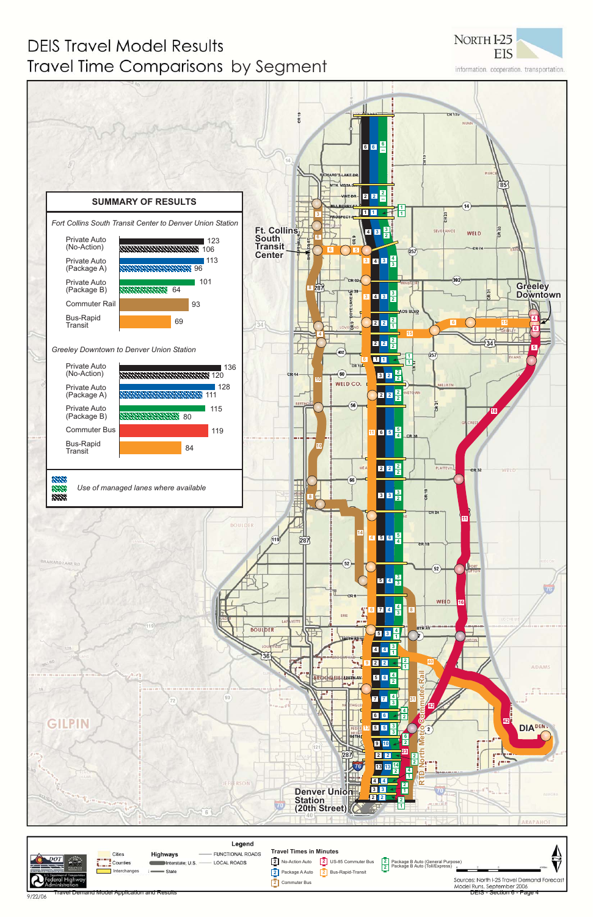## **DEIS Travel Model Results** Travel Time Comparisons by Segment



information. cooperation. transportation.